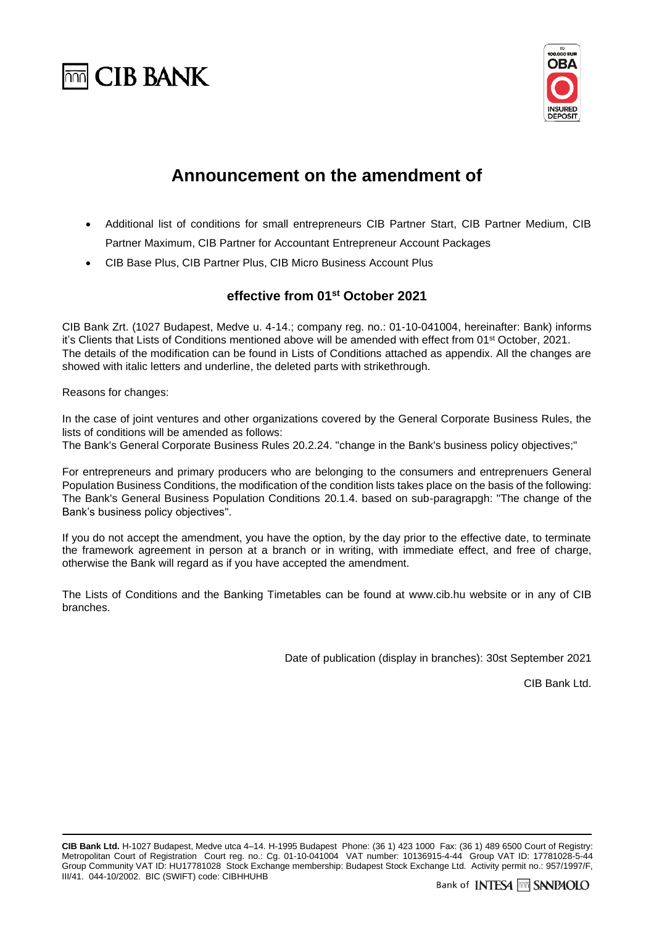



## **Announcement on the amendment of**

- Additional list of conditions for small entrepreneurs CIB Partner Start, CIB Partner Medium, CIB Partner Maximum, CIB Partner for Accountant Entrepreneur Account Packages
- CIB Base Plus, CIB Partner Plus, CIB Micro Business Account Plus

## **effective from 01 st October 2021**

CIB Bank Zrt. (1027 Budapest, Medve u. 4-14.; company reg. no.: 01-10-041004, hereinafter: Bank) informs it's Clients that Lists of Conditions mentioned above will be amended with effect from 01 st October, 2021. The details of the modification can be found in Lists of Conditions attached as appendix. All the changes are showed with italic letters and underline, the deleted parts with strikethrough.

Reasons for changes:

In the case of joint ventures and other organizations covered by the General Corporate Business Rules, the lists of conditions will be amended as follows:

The Bank's General Corporate Business Rules 20.2.24. "change in the Bank's business policy objectives;"

For entrepreneurs and primary producers who are belonging to the consumers and entreprenuers General Population Business Conditions, the modification of the condition lists takes place on the basis of the following: The Bank's General Business Population Conditions 20.1.4. based on sub-paragrapgh: "The change of the Bank's business policy objectives".

If you do not accept the amendment, you have the option, by the day prior to the effective date, to terminate the framework agreement in person at a branch or in writing, with immediate effect, and free of charge, otherwise the Bank will regard as if you have accepted the amendment.

The Lists of Conditions and the Banking Timetables can be found at [www.cib.hu](http://www.cib.hu/) website or in any of CIB branches.

Date of publication (display in branches): 30st September 2021

CIB Bank Ltd.